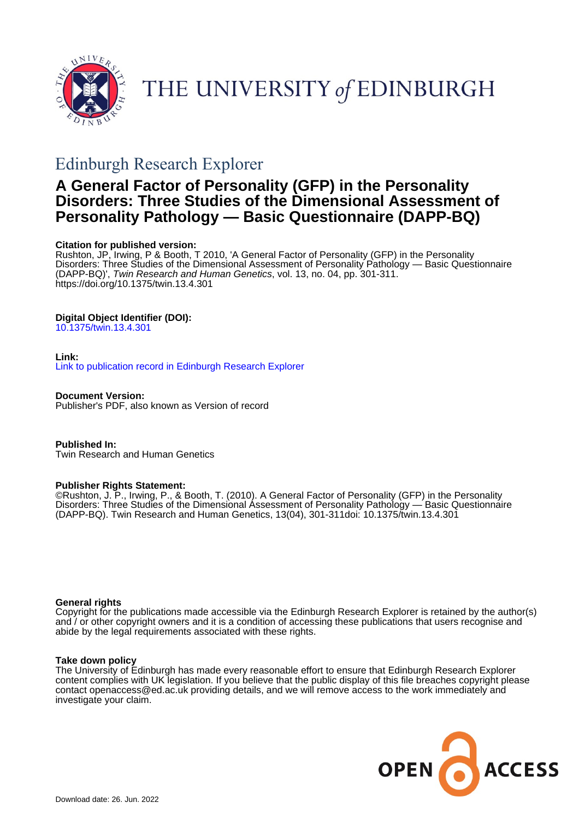



## Edinburgh Research Explorer

### **A General Factor of Personality (GFP) in the Personality Disorders: Three Studies of the Dimensional Assessment of Personality Pathology — Basic Questionnaire (DAPP-BQ)**

### **Citation for published version:**

Rushton, JP, Irwing, P & Booth, T 2010, 'A General Factor of Personality (GFP) in the Personality Disorders: Three Studies of the Dimensional Assessment of Personality Pathology — Basic Questionnaire (DAPP-BQ)', Twin Research and Human Genetics, vol. 13, no. 04, pp. 301-311. <https://doi.org/10.1375/twin.13.4.301>

### **Digital Object Identifier (DOI):**

[10.1375/twin.13.4.301](https://doi.org/10.1375/twin.13.4.301)

### **Link:**

[Link to publication record in Edinburgh Research Explorer](https://www.research.ed.ac.uk/en/publications/cdd3c59b-0069-4100-8e57-50e0e4fde72d)

**Document Version:** Publisher's PDF, also known as Version of record

**Published In:** Twin Research and Human Genetics

### **Publisher Rights Statement:**

©Rushton, J. P., Irwing, P., & Booth, T. (2010). A General Factor of Personality (GFP) in the Personality Disorders: Three Studies of the Dimensional Assessment of Personality Pathology — Basic Questionnaire (DAPP-BQ). Twin Research and Human Genetics, 13(04), 301-311doi: 10.1375/twin.13.4.301

### **General rights**

Copyright for the publications made accessible via the Edinburgh Research Explorer is retained by the author(s) and / or other copyright owners and it is a condition of accessing these publications that users recognise and abide by the legal requirements associated with these rights.

### **Take down policy**

The University of Edinburgh has made every reasonable effort to ensure that Edinburgh Research Explorer content complies with UK legislation. If you believe that the public display of this file breaches copyright please contact openaccess@ed.ac.uk providing details, and we will remove access to the work immediately and investigate your claim.

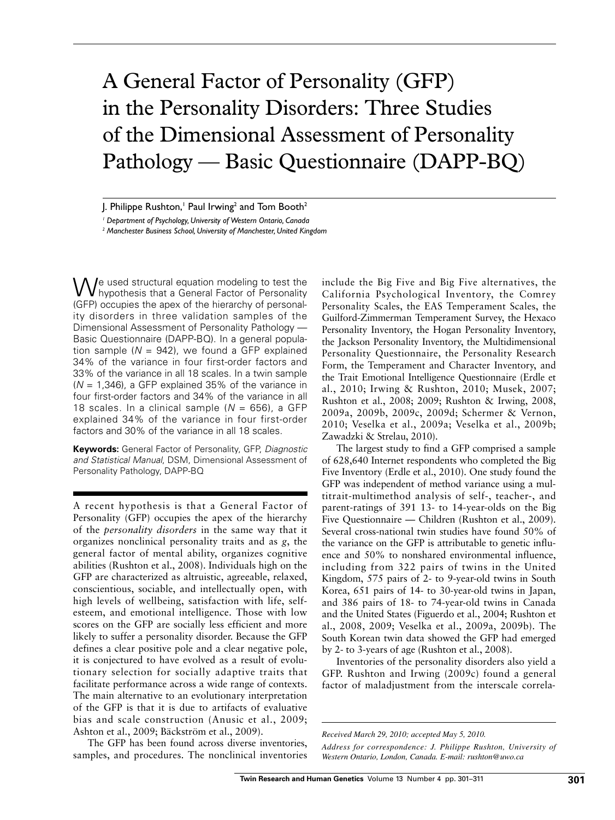# A General Factor of Personality (GFP) in the Personality Disorders: Three Studies of the Dimensional Assessment of Personality Pathology — Basic Questionnaire (DAPP-BQ)

We used structural equation modeling to test the<br>
CER hypothesis that a General Factor of Personality (GFP) occupies the apex of the hierarchy of personality disorders in three validation samples of the Dimensional Assessment of Personality Pathology — Basic Questionnaire (DAPP-BQ). In a general population sample  $(N = 942)$ , we found a GFP explained 34% of the variance in four first-order factors and 33% of the variance in all 18 scales. In a twin sample  $(N = 1,346)$ , a GFP explained 35% of the variance in four first-order factors and 34% of the variance in all 18 scales. In a clinical sample ( $N = 656$ ), a GFP explained 34% of the variance in four first-order factors and 30% of the variance in all 18 scales.

**Keywords:** General Factor of Personality, GFP, Diagnostic and Statistical Manual, DSM, Dimensional Assessment of Personality Pathology, DAPP-BQ

A recent hypothesis is that a General Factor of Personality (GFP) occupies the apex of the hierarchy of the *personality disorders* in the same way that it organizes nonclinical personality traits and as *g*, the general factor of mental ability, organizes cognitive abilities (Rushton et al., 2008). Individuals high on the GFP are characterized as altruistic, agreeable, relaxed, conscientious, sociable, and intellectually open, with high levels of wellbeing, satisfaction with life, selfesteem, and emotional intelligence. Those with low scores on the GFP are socially less efficient and more likely to suffer a personality disorder. Because the GFP defines a clear positive pole and a clear negative pole, it is conjectured to have evolved as a result of evolutionary selection for socially adaptive traits that facilitate performance across a wide range of contexts. The main alternative to an evolutionary interpretation of the GFP is that it is due to artifacts of evaluative bias and scale construction (Anusic et al., 2009; Ashton et al., 2009; Bäckström et al., 2009).

The GFP has been found across diverse inventories, samples, and procedures. The nonclinical inventories include the Big Five and Big Five alternatives, the California Psychological Inventory, the Comrey Personality Scales, the EAS Temperament Scales, the Guilford-Zimmerman Temperament Survey, the Hexaco Personality Inventory, the Hogan Personality Inventory, the Jackson Personality Inventory, the Multidimensional Personality Questionnaire, the Personality Research Form, the Temperament and Character Inventory, and the Trait Emotional Intelligence Questionnaire (Erdle et al., 2010; Irwing & Rushton, 2010; Musek, 2007; Rushton et al., 2008; 2009; Rushton & Irwing, 2008, 2009a, 2009b, 2009c, 2009d; Schermer & Vernon, 2010; Veselka et al., 2009a; Veselka et al., 2009b; Zawadzki & Strelau, 2010).

The largest study to find a GFP comprised a sample of 628,640 Internet respondents who completed the Big Five Inventory (Erdle et al., 2010). One study found the GFP was independent of method variance using a multitrait-multimethod analysis of self-, teacher-, and parent-ratings of 391 13- to 14-year-olds on the Big Five Questionnaire — Children (Rushton et al., 2009). Several cross-national twin studies have found 50% of the variance on the GFP is attributable to genetic influence and 50% to nonshared environmental influence, including from 322 pairs of twins in the United Kingdom, 575 pairs of 2- to 9-year-old twins in South Korea, 651 pairs of 14- to 30-year-old twins in Japan, and 386 pairs of 18- to 74-year-old twins in Canada and the United States (Figuerdo et al., 2004; Rushton et al., 2008, 2009; Veselka et al., 2009a, 2009b). The South Korean twin data showed the GFP had emerged by 2- to 3-years of age (Rushton et al., 2008).

Inventories of the personality disorders also yield a GFP. Rushton and Irwing (2009c) found a general factor of maladjustment from the interscale correla-

*Address for correspondence: J. Philippe Rushton, University of Western Ontario, London, Canada. E-mail: rushton@uwo.ca*

 $I.$  Philippe Rushton,<sup>1</sup> Paul Irwing<sup>2</sup> and Tom Booth<sup>2</sup>

*<sup>1</sup> Department of Psychology, University of Western Ontario, Canada*

*<sup>2</sup> Manchester Business School, University of Manchester, United Kingdom*

*Received March 29, 2010; accepted May 5, 2010.*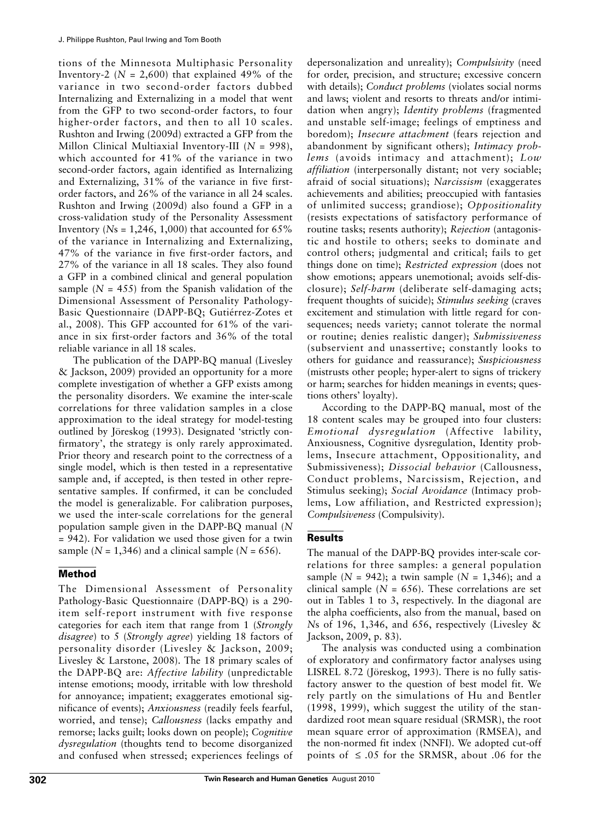tions of the Minnesota Multiphasic Personality Inventory-2 ( $N = 2,600$ ) that explained 49% of the variance in two second-order factors dubbed Internalizing and Externalizing in a model that went from the GFP to two second-order factors, to four higher-order factors, and then to all 10 scales. Rushton and Irwing (2009d) extracted a GFP from the Millon Clinical Multiaxial Inventory-III (*N* = 998), which accounted for 41% of the variance in two second-order factors, again identified as Internalizing and Externalizing, 31% of the variance in five firstorder factors, and 26% of the variance in all 24 scales. Rushton and Irwing (2009d) also found a GFP in a cross-validation study of the Personality Assessment Inventory ( $Ns = 1,246, 1,000$ ) that accounted for  $65\%$ of the variance in Internalizing and Externalizing, 47% of the variance in five first-order factors, and 27% of the variance in all 18 scales. They also found a GFP in a combined clinical and general population sample  $(N = 455)$  from the Spanish validation of the Dimensional Assessment of Personality Pathology-Basic Questionnaire (DAPP-BQ; Gutiérrez-Zotes et al., 2008). This GFP accounted for 61% of the variance in six first-order factors and 36% of the total reliable variance in all 18 scales.

The publication of the DAPP-BQ manual (Livesley & Jackson, 2009) provided an opportunity for a more complete investigation of whether a GFP exists among the personality disorders. We examine the inter-scale correlations for three validation samples in a close approximation to the ideal strategy for model-testing outlined by Jöreskog (1993). Designated 'strictly confirmatory', the strategy is only rarely approximated. Prior theory and research point to the correctness of a single model, which is then tested in a representative sample and, if accepted, is then tested in other representative samples. If confirmed, it can be concluded the model is generalizable. For calibration purposes, we used the inter-scale correlations for the general population sample given in the DAPP-BQ manual (*N* = 942). For validation we used those given for a twin sample ( $N = 1,346$ ) and a clinical sample ( $N = 656$ ).

### **Method**

The Dimensional Assessment of Personality Pathology-Basic Questionnaire (DAPP-BQ) is a 290 item self-report instrument with five response categories for each item that range from 1 (*Strongly disagree*) to 5 (*Strongly agree*) yielding 18 factors of personality disorder (Livesley & Jackson, 2009; Livesley & Larstone, 2008). The 18 primary scales of the DAPP-BQ are: *Affective lability* (unpredictable intense emotions; moody, irritable with low threshold for annoyance; impatient; exaggerates emotional significance of events); *Anxiousness* (readily feels fearful, worried, and tense); *Callousness* (lacks empathy and remorse; lacks guilt; looks down on people); *Cognitive dysregulation* (thoughts tend to become disorganized and confused when stressed; experiences feelings of

depersonalization and unreality); *Compulsivity* (need for order, precision, and structure; excessive concern with details); *Conduct problems* (violates social norms and laws; violent and resorts to threats and/or intimidation when angry); *Identity problems* (fragmented and unstable self-image; feelings of emptiness and boredom); *Insecure attachment* (fears rejection and abandonment by significant others); *Intimacy problems* (avoids intimacy and attachment); *Low affiliation* (interpersonally distant; not very sociable; afraid of social situations); *Narcissism* (exaggerates achievements and abilities; preoccupied with fantasies of unlimited success; grandiose); *Oppositionality* (resists expectations of satisfactory performance of routine tasks; resents authority); *Rejection* (antagonistic and hostile to others; seeks to dominate and control others; judgmental and critical; fails to get things done on time); *Restricted expression* (does not show emotions; appears unemotional; avoids self-disclosure); *Self-harm* (deliberate self-damaging acts; frequent thoughts of suicide); *Stimulus seeking* (craves excitement and stimulation with little regard for consequences; needs variety; cannot tolerate the normal or routine; denies realistic danger); *Submissiveness* (subservient and unassertive; constantly looks to others for guidance and reassurance); *Suspiciousness* (mistrusts other people; hyper-alert to signs of trickery or harm; searches for hidden meanings in events; questions others' loyalty).

According to the DAPP-BQ manual, most of the 18 content scales may be grouped into four clusters: *Emotional dysregulation* (Affective lability, Anxiousness, Cognitive dysregulation, Identity problems, Insecure attachment, Oppositionality, and Submissiveness); *Dissocial behavior* (Callousness, Conduct problems, Narcissism, Rejection, and Stimulus seeking); *Social Avoidance* (Intimacy problems, Low affiliation, and Restricted expression); *Compulsiveness* (Compulsivity).

### **Results**

The manual of the DAPP-BQ provides inter-scale correlations for three samples: a general population sample  $(N = 942)$ ; a twin sample  $(N = 1,346)$ ; and a clinical sample  $(N = 656)$ . These correlations are set out in Tables 1 to 3, respectively. In the diagonal are the alpha coefficients, also from the manual, based on *N*s of 196, 1,346, and 656, respectively (Livesley & Jackson, 2009, p. 83).

The analysis was conducted using a combination of exploratory and confirmatory factor analyses using LISREL 8.72 (Jöreskog, 1993). There is no fully satisfactory answer to the question of best model fit. We rely partly on the simulations of Hu and Bentler (1998, 1999), which suggest the utility of the standardized root mean square residual (SRMSR), the root mean square error of approximation (RMSEA), and the non-normed fit index (NNFI). We adopted cut-off points of  $≤ .05$  for the SRMSR, about .06 for the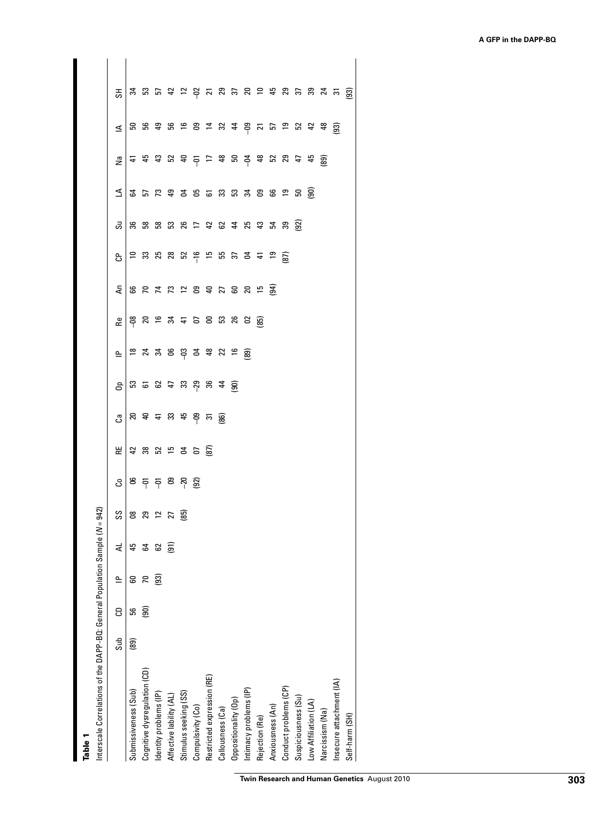| Interscale Correlations of the DAPP-BQ: General Population Sample (N = |      |     |              |                          | 942)        |    |               |                   |                           |                                                                                                                                                                                                                                                                                                                                                                       |                              |                         |                                        |                                            |                               |                                   |                                         |                                               |
|------------------------------------------------------------------------|------|-----|--------------|--------------------------|-------------|----|---------------|-------------------|---------------------------|-----------------------------------------------------------------------------------------------------------------------------------------------------------------------------------------------------------------------------------------------------------------------------------------------------------------------------------------------------------------------|------------------------------|-------------------------|----------------------------------------|--------------------------------------------|-------------------------------|-----------------------------------|-----------------------------------------|-----------------------------------------------|
|                                                                        | Sub  | S   | $\triangleq$ | ₹                        | SS          | යි |               | යී                | å                         |                                                                                                                                                                                                                                                                                                                                                                       | ٩è                           | Ę                       | ಕಿ                                     | ಹ                                          | ₹                             | Σå                                | ≤                                       | 오                                             |
| Submissiveness (Sub)                                                   | (89) | 95  | ඝ            | 45                       |             |    | E   3 8 5 5 2 | 8 8 5 8 8 9 9 9 9 |                           | $\overline{\sigma}$   $\overline{\mathtt{m}}$   $\overline{\mathtt{m}}$   $\overline{\mathtt{m}}$   $\overline{\mathtt{m}}$   $\overline{\mathtt{m}}$   $\overline{\mathtt{m}}$   $\overline{\mathtt{m}}$   $\overline{\mathtt{m}}$   $\overline{\mathtt{m}}$   $\overline{\mathtt{m}}$   $\overline{\mathtt{m}}$   $\overline{\mathtt{m}}$   $\overline{\mathtt{m}}$ |                              |                         |                                        |                                            |                               |                                   |                                         | 3 5 5 6 7 8 7 8 7 8 9 8 9 8 9 8 9 8 9 8 9 8 9 |
| Cognitive dysregulation (CD)                                           |      | 90) |              | S,                       |             |    |               |                   |                           |                                                                                                                                                                                                                                                                                                                                                                       |                              |                         |                                        |                                            |                               |                                   |                                         |                                               |
| Identity problems (IP)                                                 |      |     | ශි           | ය                        |             |    |               |                   |                           |                                                                                                                                                                                                                                                                                                                                                                       |                              |                         |                                        |                                            |                               |                                   |                                         |                                               |
| Affective lability (AL)                                                |      |     |              | $\widetilde{\mathsf{e}}$ | ខ ឌ ដ ដ ន្ល |    |               |                   | <u>នេ ៤ ន ម ន ន ន ម ទ</u> |                                                                                                                                                                                                                                                                                                                                                                       | <b>9 2 5 3 5 6 6 7 8 9 8</b> | 8 R H R N B Q N B R H B | <b>D 8 8 8 9 5 5 6 9 9 9 9 5 5 6 9</b> | <b>8 8 8 8 9 9 5 4 8 4 5 6 7 6 7 8 9 7</b> | 3 5 5 5 5 6 7 8 9 9 9 9 9 9 9 | 5 5 5 5 5 5 5 5 5 5 5 6 7 6 7 6 7 | 5 5 3 5 5 6 5 5 5 6 5 6 7 6 7 6 9 6 9 6 |                                               |
| Stimulus seeking (SS)                                                  |      |     |              |                          |             |    |               |                   |                           |                                                                                                                                                                                                                                                                                                                                                                       |                              |                         |                                        |                                            |                               |                                   |                                         |                                               |
| Compulsivity (Co)                                                      |      |     |              |                          |             |    |               |                   |                           |                                                                                                                                                                                                                                                                                                                                                                       |                              |                         |                                        |                                            |                               |                                   |                                         |                                               |
| Restricted expression (RE)                                             |      |     |              |                          |             |    |               |                   |                           |                                                                                                                                                                                                                                                                                                                                                                       |                              |                         |                                        |                                            |                               |                                   |                                         |                                               |
| Callousness (Ca)                                                       |      |     |              |                          |             |    |               |                   |                           |                                                                                                                                                                                                                                                                                                                                                                       |                              |                         |                                        |                                            |                               |                                   |                                         |                                               |
| Oppositionality (Op)                                                   |      |     |              |                          |             |    |               |                   |                           |                                                                                                                                                                                                                                                                                                                                                                       |                              |                         |                                        |                                            |                               |                                   |                                         |                                               |
| Intimacy problems (IP)                                                 |      |     |              |                          |             |    |               |                   |                           |                                                                                                                                                                                                                                                                                                                                                                       |                              |                         |                                        |                                            |                               |                                   |                                         |                                               |
| Rejection (Re)                                                         |      |     |              |                          |             |    |               |                   |                           |                                                                                                                                                                                                                                                                                                                                                                       |                              |                         |                                        |                                            |                               |                                   |                                         |                                               |
| Anxiousness (An)                                                       |      |     |              |                          |             |    |               |                   |                           |                                                                                                                                                                                                                                                                                                                                                                       |                              |                         |                                        |                                            |                               |                                   |                                         |                                               |
| Conduct problems (CP)                                                  |      |     |              |                          |             |    |               |                   |                           |                                                                                                                                                                                                                                                                                                                                                                       |                              |                         |                                        |                                            |                               |                                   |                                         |                                               |
| Suspiciousness (Su)                                                    |      |     |              |                          |             |    |               |                   |                           |                                                                                                                                                                                                                                                                                                                                                                       |                              |                         |                                        |                                            |                               |                                   |                                         |                                               |
| Low Affiliation (LA)                                                   |      |     |              |                          |             |    |               |                   |                           |                                                                                                                                                                                                                                                                                                                                                                       |                              |                         |                                        |                                            |                               |                                   |                                         |                                               |
| Narcissism (Na)                                                        |      |     |              |                          |             |    |               |                   |                           |                                                                                                                                                                                                                                                                                                                                                                       |                              |                         |                                        |                                            |                               |                                   |                                         |                                               |
| Insecure attachment (IA)                                               |      |     |              |                          |             |    |               |                   |                           |                                                                                                                                                                                                                                                                                                                                                                       |                              |                         |                                        |                                            |                               |                                   |                                         |                                               |
| Self-harm (SH)                                                         |      |     |              |                          |             |    |               |                   |                           |                                                                                                                                                                                                                                                                                                                                                                       |                              |                         |                                        |                                            |                               |                                   |                                         |                                               |
|                                                                        |      |     |              |                          |             |    |               |                   |                           |                                                                                                                                                                                                                                                                                                                                                                       |                              |                         |                                        |                                            |                               |                                   |                                         |                                               |

# **Table 1**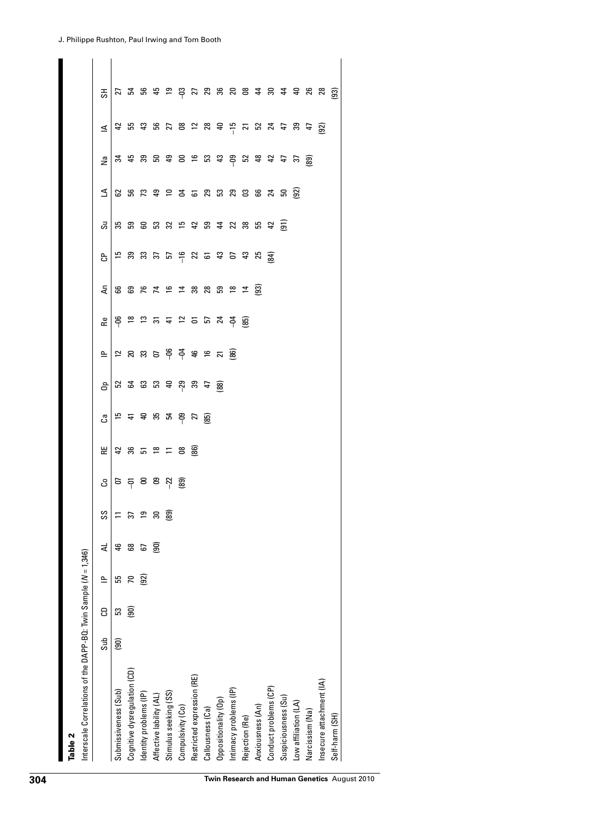| Table 2                                                         |     |    |             |    |            |                 |                   |                                         |  |               |                     |                                       |                                         |                                                   |                                                                                                                                                                                                                                                                                                                       |  |
|-----------------------------------------------------------------|-----|----|-------------|----|------------|-----------------|-------------------|-----------------------------------------|--|---------------|---------------------|---------------------------------------|-----------------------------------------|---------------------------------------------------|-----------------------------------------------------------------------------------------------------------------------------------------------------------------------------------------------------------------------------------------------------------------------------------------------------------------------|--|
| Interscale Correlations of the DAPP-BQ: Twin Sample (N = 1,346) |     |    |             |    |            |                 |                   |                                         |  |               |                     |                                       |                                         |                                                   |                                                                                                                                                                                                                                                                                                                       |  |
|                                                                 | Sub | 8  | $\triangle$ | ₹  |            |                 |                   |                                         |  | E             |                     |                                       |                                         |                                                   |                                                                                                                                                                                                                                                                                                                       |  |
| Submissiveness (Sub)                                            | මූ  | ន  | 55          | \$ | $S = 85.8$ | $355588$ ကို စွ | E   3 8 5 2 5 8 6 | <mark>ធ</mark>  កម្ម ស្ដ ខី <i>២</i> ខី |  |               | $E$  88352452388525 | <u>ទ</u>  ក្ខន្ទ ខេត្ត ក្ខុង ខេត្ត ទី | $\frac{1}{2}$  ងួនខ្នួនងក្នុងខ្នង ដូច្ន | $\mathcal{A} \vert$ & & & & = & & & & & & & & & & | $\frac{1}{2}$   $\frac{1}{2}$ $\frac{1}{3}$ $\frac{1}{4}$ $\frac{1}{5}$ $\frac{1}{6}$ $\frac{1}{2}$ $\frac{1}{6}$ $\frac{1}{6}$ $\frac{1}{6}$ $\frac{1}{6}$ $\frac{1}{6}$ $\frac{1}{6}$ $\frac{1}{6}$ $\frac{1}{6}$ $\frac{1}{6}$ $\frac{1}{6}$ $\frac{1}{6}$ $\frac{1}{6}$ $\frac{1}{6}$ $\frac{1}{6}$ $\frac{1}{6}$ |  |
| Cognitive dysregulation (CD)                                    |     | මූ | R           | 8  |            |                 |                   |                                         |  |               |                     |                                       |                                         |                                                   |                                                                                                                                                                                                                                                                                                                       |  |
| Identity problems (IP)                                          |     |    | වූ          | 5  |            |                 |                   |                                         |  | Sesseracer 26 |                     |                                       |                                         |                                                   |                                                                                                                                                                                                                                                                                                                       |  |
| Affective lability (AL)                                         |     |    |             | මූ |            |                 |                   |                                         |  |               |                     |                                       |                                         |                                                   |                                                                                                                                                                                                                                                                                                                       |  |
| Stimulus seeking (SS)                                           |     |    |             |    |            |                 |                   |                                         |  |               |                     |                                       |                                         |                                                   |                                                                                                                                                                                                                                                                                                                       |  |
| Compulsivity (Co)                                               |     |    |             |    |            |                 |                   |                                         |  |               |                     |                                       |                                         |                                                   |                                                                                                                                                                                                                                                                                                                       |  |
| Restricted expression (RE)                                      |     |    |             |    |            |                 |                   |                                         |  |               |                     |                                       |                                         |                                                   |                                                                                                                                                                                                                                                                                                                       |  |
| Callousness (Ca)                                                |     |    |             |    |            |                 |                   |                                         |  |               |                     |                                       |                                         |                                                   |                                                                                                                                                                                                                                                                                                                       |  |
| Oppositionality (Op)                                            |     |    |             |    |            |                 |                   |                                         |  |               |                     |                                       |                                         |                                                   |                                                                                                                                                                                                                                                                                                                       |  |
| Intimacy problems (IP)                                          |     |    |             |    |            |                 |                   |                                         |  |               |                     |                                       |                                         |                                                   |                                                                                                                                                                                                                                                                                                                       |  |
| Rejection (Re)                                                  |     |    |             |    |            |                 |                   |                                         |  |               |                     |                                       |                                         |                                                   |                                                                                                                                                                                                                                                                                                                       |  |
| Anxiousness (An)                                                |     |    |             |    |            |                 |                   |                                         |  |               |                     |                                       |                                         |                                                   |                                                                                                                                                                                                                                                                                                                       |  |
| Conduct problems (CP)                                           |     |    |             |    |            |                 |                   |                                         |  |               |                     |                                       |                                         |                                                   |                                                                                                                                                                                                                                                                                                                       |  |
| Suspiciousness (Su)                                             |     |    |             |    |            |                 |                   |                                         |  |               |                     |                                       |                                         |                                                   |                                                                                                                                                                                                                                                                                                                       |  |
| Low affiliation (LA)                                            |     |    |             |    |            |                 |                   |                                         |  |               |                     |                                       |                                         |                                                   |                                                                                                                                                                                                                                                                                                                       |  |
| Narcissism (Na)                                                 |     |    |             |    |            |                 |                   |                                         |  |               |                     |                                       |                                         |                                                   |                                                                                                                                                                                                                                                                                                                       |  |
| Insecure attachment (IA)                                        |     |    |             |    |            |                 |                   |                                         |  |               |                     |                                       |                                         |                                                   |                                                                                                                                                                                                                                                                                                                       |  |
| Self-harm (SH)                                                  |     |    |             |    |            |                 |                   |                                         |  |               |                     |                                       |                                         |                                                   |                                                                                                                                                                                                                                                                                                                       |  |
|                                                                 |     |    |             |    |            |                 |                   |                                         |  |               |                     |                                       |                                         |                                                   |                                                                                                                                                                                                                                                                                                                       |  |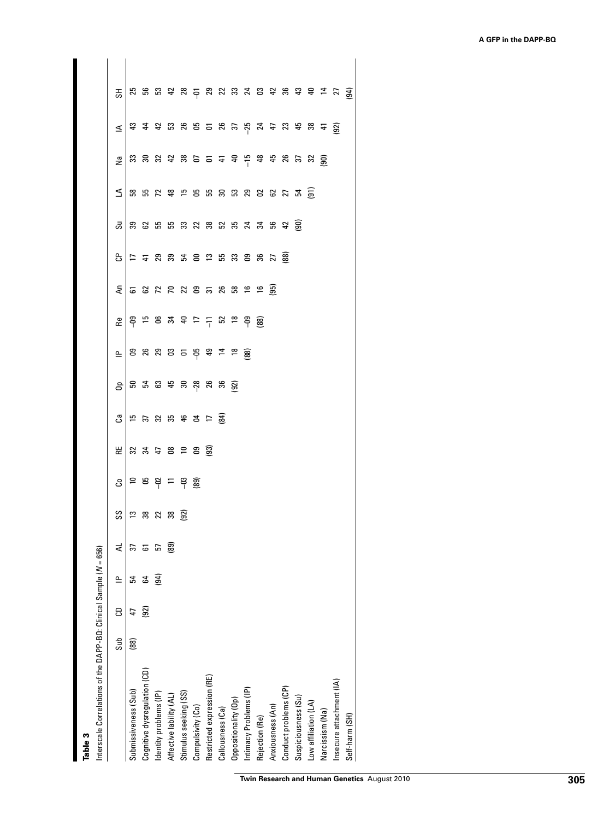| m | rscal |
|---|-------|
|   |       |

| i                          |  |
|----------------------------|--|
| ı                          |  |
|                            |  |
|                            |  |
| $\frac{1}{3}$<br>֡֡֡֡֡֡֡֡֡ |  |
| くりょう<br>j                  |  |
| ī                          |  |
|                            |  |
| i<br>ı                     |  |
|                            |  |

| Interscale Correlations of the DAPP-BQ: Clinical Sample (N = 656) |      |      |                |     |                           |               |           |                                                                                                            |                                                     |                           |                                                                                                                                                                                                                                                                                                                                                                                                                                       |                                        |                                                           |                      |   |                                       |
|-------------------------------------------------------------------|------|------|----------------|-----|---------------------------|---------------|-----------|------------------------------------------------------------------------------------------------------------|-----------------------------------------------------|---------------------------|---------------------------------------------------------------------------------------------------------------------------------------------------------------------------------------------------------------------------------------------------------------------------------------------------------------------------------------------------------------------------------------------------------------------------------------|----------------------------------------|-----------------------------------------------------------|----------------------|---|---------------------------------------|
|                                                                   | Sub  | 8    | $\mathbf{r}$   | ₹   | $\frac{8}{3}$             | යි            | ී         |                                                                                                            | ٩e                                                  | ર્વ                       | ಕಿ                                                                                                                                                                                                                                                                                                                                                                                                                                    | ಕೆ                                     |                                                           | ع ً                  | ≤ | 풊                                     |
| Submissiveness (Sub)                                              | (88) |      |                |     | <b>ី ឌ ឌ ឌ ឌ</b> <u>ឌ</u> | $= 8 8 = 8 8$ | 155354576 | $\overline{\sigma}$   8 % % % 8 9 5 $\overline{\sigma}$ & $\overline{x}$ & $\overline{\widetilde{\omega}}$ |                                                     |                           | $\begin{array}{cccccccccccccc} \texttt{C} & \texttt{C} & \texttt{C} & \texttt{C} & \texttt{C} & \texttt{C} & \texttt{C} & \texttt{C} & \texttt{C} & \texttt{C} & \texttt{C} & \texttt{C} & \texttt{C} & \texttt{C} & \texttt{C} & \texttt{C} & \texttt{C} & \texttt{C} & \texttt{C} & \texttt{C} & \texttt{C} & \texttt{C} & \texttt{C} & \texttt{C} & \texttt{C} & \texttt{C} & \texttt{C} & \texttt{C} & \texttt{C} & \texttt{C} &$ | <b>8 2 5 5 8 7 8 9 5 5 7 7 8 6 9 6</b> | $\overline{z}$   នៃ ន ភេ ៩ ភេ ក ន ក ន ន ន ន ន ន ន ទ ក ន ម | 8882865544 - 88888 5 |   | 8 5 6 7 8 7 8 7 8 8 8 9 8 9 8 9 8 7 8 |
| Cognitive dysregulation (CD)                                      |      | (92) |                | డ   |                           |               |           |                                                                                                            |                                                     |                           |                                                                                                                                                                                                                                                                                                                                                                                                                                       |                                        |                                                           |                      |   |                                       |
| Identity problems (IP)                                            |      |      | $\overline{a}$ | 5   |                           |               |           |                                                                                                            |                                                     |                           |                                                                                                                                                                                                                                                                                                                                                                                                                                       |                                        |                                                           |                      |   |                                       |
| Affective lability (AL)                                           |      |      |                | 39) |                           |               |           |                                                                                                            | $P$ $P$ $P$ $S$ $R$ $P$ $P$ $T$ $S$ $P$ $P$ $S$ $S$ | 5 8 2 2 3 5 5 8 8 9 9 9 9 |                                                                                                                                                                                                                                                                                                                                                                                                                                       |                                        |                                                           |                      |   |                                       |
| Stimulus seeking (SS)                                             |      |      |                |     |                           |               |           |                                                                                                            |                                                     |                           |                                                                                                                                                                                                                                                                                                                                                                                                                                       |                                        |                                                           |                      |   |                                       |
| Compulsivity (Co)                                                 |      |      |                |     |                           |               |           |                                                                                                            |                                                     |                           |                                                                                                                                                                                                                                                                                                                                                                                                                                       |                                        |                                                           |                      |   |                                       |
| Restricted expression (RE)                                        |      |      |                |     |                           |               |           |                                                                                                            |                                                     |                           |                                                                                                                                                                                                                                                                                                                                                                                                                                       |                                        |                                                           |                      |   |                                       |
| Callousness (Ca)                                                  |      |      |                |     |                           |               |           |                                                                                                            |                                                     |                           |                                                                                                                                                                                                                                                                                                                                                                                                                                       |                                        |                                                           |                      |   |                                       |
| Oppositionality (Op)                                              |      |      |                |     |                           |               |           |                                                                                                            |                                                     |                           |                                                                                                                                                                                                                                                                                                                                                                                                                                       |                                        |                                                           |                      |   |                                       |
| Intimacy Problems (IP)                                            |      |      |                |     |                           |               |           |                                                                                                            |                                                     |                           |                                                                                                                                                                                                                                                                                                                                                                                                                                       |                                        |                                                           |                      |   |                                       |
| Rejection (Re)                                                    |      |      |                |     |                           |               |           |                                                                                                            |                                                     |                           |                                                                                                                                                                                                                                                                                                                                                                                                                                       |                                        |                                                           |                      |   |                                       |
| Anxiousness (An)                                                  |      |      |                |     |                           |               |           |                                                                                                            |                                                     |                           |                                                                                                                                                                                                                                                                                                                                                                                                                                       |                                        |                                                           |                      |   |                                       |
| Conduct problems (CP)                                             |      |      |                |     |                           |               |           |                                                                                                            |                                                     |                           |                                                                                                                                                                                                                                                                                                                                                                                                                                       |                                        |                                                           |                      |   |                                       |
| Suspiciousness (Su)                                               |      |      |                |     |                           |               |           |                                                                                                            |                                                     |                           |                                                                                                                                                                                                                                                                                                                                                                                                                                       |                                        |                                                           |                      |   |                                       |
| Low affiliation (LA)                                              |      |      |                |     |                           |               |           |                                                                                                            |                                                     |                           |                                                                                                                                                                                                                                                                                                                                                                                                                                       |                                        |                                                           |                      |   |                                       |
| Narcissism (Na)                                                   |      |      |                |     |                           |               |           |                                                                                                            |                                                     |                           |                                                                                                                                                                                                                                                                                                                                                                                                                                       |                                        |                                                           |                      |   |                                       |
| Insecure attachment (IA)                                          |      |      |                |     |                           |               |           |                                                                                                            |                                                     |                           |                                                                                                                                                                                                                                                                                                                                                                                                                                       |                                        |                                                           |                      |   |                                       |
| Self-harm (SH)                                                    |      |      |                |     |                           |               |           |                                                                                                            |                                                     |                           |                                                                                                                                                                                                                                                                                                                                                                                                                                       |                                        |                                                           |                      |   |                                       |
|                                                                   |      |      |                |     |                           |               |           |                                                                                                            |                                                     |                           |                                                                                                                                                                                                                                                                                                                                                                                                                                       |                                        |                                                           |                      |   |                                       |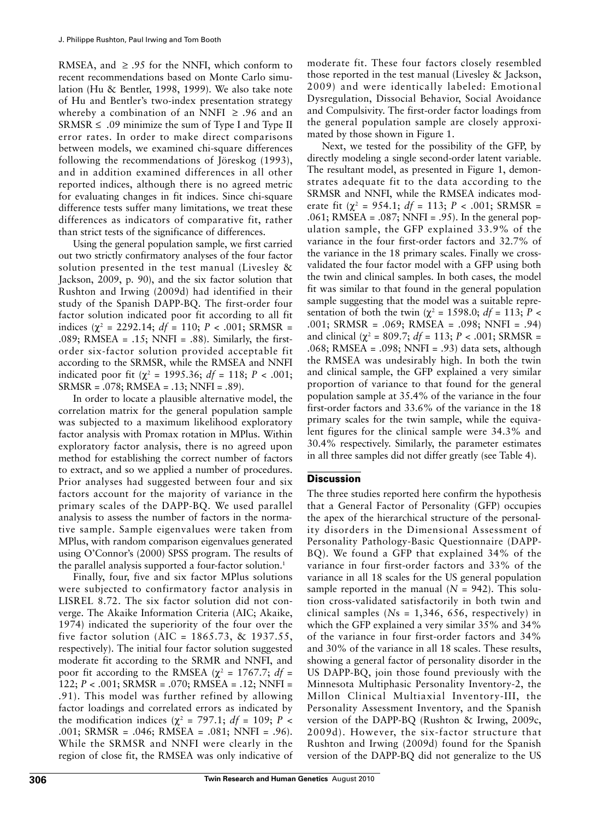RMSEA, and  $\geq .95$  for the NNFI, which conform to recent recommendations based on Monte Carlo simulation (Hu & Bentler, 1998, 1999). We also take note of Hu and Bentler's two-index presentation strategy whereby a combination of an NNFI  $\geq$  .96 and an  $SRMSR \leq .09$  minimize the sum of Type I and Type II error rates. In order to make direct comparisons between models, we examined chi-square differences following the recommendations of Jöreskog (1993), and in addition examined differences in all other reported indices, although there is no agreed metric for evaluating changes in fit indices. Since chi-square difference tests suffer many limitations, we treat these differences as indicators of comparative fit, rather than strict tests of the significance of differences.

Using the general population sample, we first carried out two strictly confirmatory analyses of the four factor solution presented in the test manual (Livesley & Jackson, 2009, p. 90), and the six factor solution that Rushton and Irwing (2009d) had identified in their study of the Spanish DAPP-BQ. The first-order four factor solution indicated poor fit according to all fit indices ( $\chi^2$  = 2292.14; *df* = 110; *P* < .001; SRMSR = .089; RMSEA = .15; NNFI = .88). Similarly, the firstorder six-factor solution provided acceptable fit according to the SRMSR, while the RMSEA and NNFI indicated poor fit ( $\chi^2$  = 1995.36; *df* = 118; *P* < .001; SRMSR = .078; RMSEA = .13; NNFI = .89).

In order to locate a plausible alternative model, the correlation matrix for the general population sample was subjected to a maximum likelihood exploratory factor analysis with Promax rotation in MPlus. Within exploratory factor analysis, there is no agreed upon method for establishing the correct number of factors to extract, and so we applied a number of procedures. Prior analyses had suggested between four and six factors account for the majority of variance in the primary scales of the DAPP-BQ. We used parallel analysis to assess the number of factors in the normative sample. Sample eigenvalues were taken from MPlus, with random comparison eigenvalues generated using O'Connor's (2000) SPSS program. The results of the parallel analysis supported a four-factor solution.<sup>1</sup>

Finally, four, five and six factor MPlus solutions were subjected to confirmatory factor analysis in LISREL 8.72. The six factor solution did not converge. The Akaike Information Criteria (AIC; Akaike, 1974) indicated the superiority of the four over the five factor solution (AIC =  $1865.73$ , &  $1937.55$ , respectively). The initial four factor solution suggested moderate fit according to the SRMR and NNFI, and poor fit according to the RMSEA ( $\chi^2$  = 1767.7; *df* = 122; *P* < .001; SRMSR = .070; RMSEA = .12; NNFI = .91). This model was further refined by allowing factor loadings and correlated errors as indicated by the modification indices ( $\chi^2$  = 797.1; *df* = 109; *P* < .001; SRMSR = .046; RMSEA = .081; NNFI = .96). While the SRMSR and NNFI were clearly in the region of close fit, the RMSEA was only indicative of moderate fit. These four factors closely resembled those reported in the test manual (Livesley & Jackson, 2009) and were identically labeled: Emotional Dysregulation, Dissocial Behavior, Social Avoidance and Compulsivity. The first-order factor loadings from the general population sample are closely approximated by those shown in Figure 1.

Next, we tested for the possibility of the GFP, by directly modeling a single second-order latent variable. The resultant model, as presented in Figure 1, demonstrates adequate fit to the data according to the SRMSR and NNFI, while the RMSEA indicates moderate fit ( $\chi^2$  = 954.1; *df* = 113; *P* < .001; SRMSR = .061; RMSEA = .087; NNFI = .95). In the general population sample, the GFP explained 33.9% of the variance in the four first-order factors and 32.7% of the variance in the 18 primary scales. Finally we crossvalidated the four factor model with a GFP using both the twin and clinical samples. In both cases, the model fit was similar to that found in the general population sample suggesting that the model was a suitable representation of both the twin ( $\chi^2$  = 1598.0; *df* = 113; *P* < .001; SRMSR = .069; RMSEA = .098; NNFI = .94) and clinical ( $\chi^2$  = 809.7; *df* = 113; *P* < .001; SRMSR = .068; RMSEA = .098; NNFI = .93) data sets, although the RMSEA was undesirably high. In both the twin and clinical sample, the GFP explained a very similar proportion of variance to that found for the general population sample at 35.4% of the variance in the four first-order factors and 33.6% of the variance in the 18 primary scales for the twin sample, while the equivalent figures for the clinical sample were 34.3% and 30.4% respectively. Similarly, the parameter estimates in all three samples did not differ greatly (see Table 4).

### **Discussion**

The three studies reported here confirm the hypothesis that a General Factor of Personality (GFP) occupies the apex of the hierarchical structure of the personality disorders in the Dimensional Assessment of Personality Pathology-Basic Questionnaire (DAPP-BQ). We found a GFP that explained 34% of the variance in four first-order factors and 33% of the variance in all 18 scales for the US general population sample reported in the manual  $(N = 942)$ . This solution cross-validated satisfactorily in both twin and clinical samples (*N*s = 1,346, 656, respectively) in which the GFP explained a very similar 35% and 34% of the variance in four first-order factors and 34% and 30% of the variance in all 18 scales. These results, showing a general factor of personality disorder in the US DAPP-BQ, join those found previously with the Minnesota Multiphasic Personality Inventory-2, the Millon Clinical Multiaxial Inventory-III, the Personality Assessment Inventory, and the Spanish version of the DAPP-BQ (Rushton & Irwing, 2009c, 2009d). However, the six-factor structure that Rushton and Irwing (2009d) found for the Spanish version of the DAPP-BQ did not generalize to the US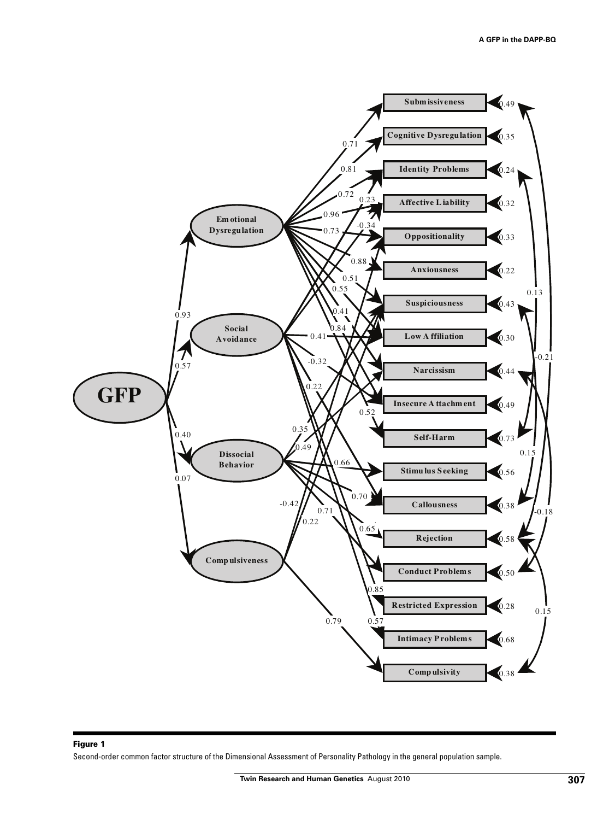

#### **Figure 1** Second-order common factor structure of the Dimensional Assessment of Personality Pathology in the general population sample.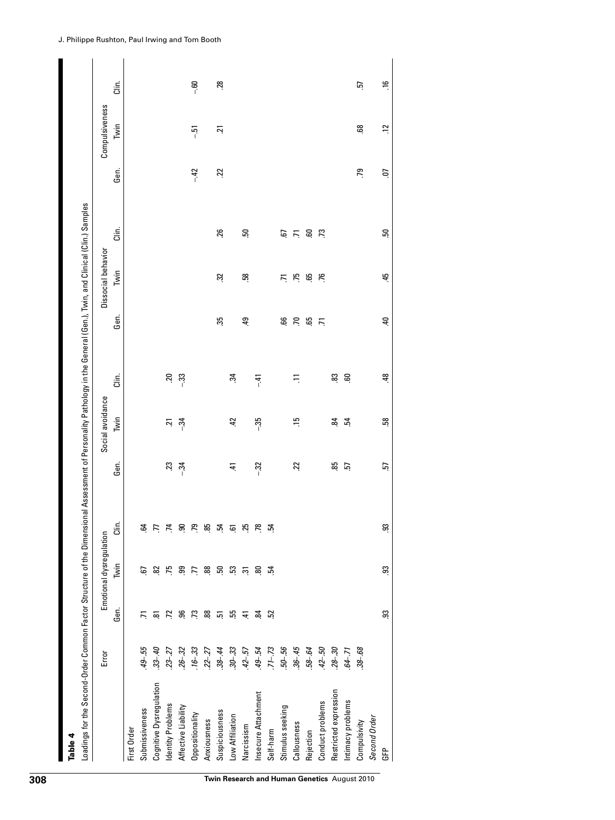| Loadings for the Second-Order Common Factor Structure of the Dimension<br>Table 4 |               |                |                         |         |       |                  | nal Assessment of Personality Pathology in the General (Gen.), Twin, and Clinical (Clin.) Samples |                |                    |            |            |                |         |
|-----------------------------------------------------------------------------------|---------------|----------------|-------------------------|---------|-------|------------------|---------------------------------------------------------------------------------------------------|----------------|--------------------|------------|------------|----------------|---------|
|                                                                                   | Error         |                | Emotional dysregulation |         |       | Social avoidance |                                                                                                   |                | Dissocial behavior |            |            | Compulsiveness |         |
|                                                                                   |               | Gen.           | Twin                    | غ<br>تا | Ġen.  | Twin             | .<br>تا                                                                                           | Gen.           | Twin               | ۔<br>تا    | Gen.       | Twin           | .<br>تا |
| First Order                                                                       |               |                |                         |         |       |                  |                                                                                                   |                |                    |            |            |                |         |
| Submissiveness                                                                    | $49 - 55$     |                | ධ                       | 54      |       |                  |                                                                                                   |                |                    |            |            |                |         |
| Cognitive Dysregulation                                                           | $33 - 40$     | جة             | ಜ                       |         |       |                  |                                                                                                   |                |                    |            |            |                |         |
| Identity Problems                                                                 | $23 - 27$     | 72             | 15                      | 74      | 23    | ż                | 20                                                                                                |                |                    |            |            |                |         |
| Affective Liability                                                               | $26 - 32$     | <u>ඝ</u>       | ஐ                       | ၕ       | $-34$ | $-34$            | - 33                                                                                              |                |                    |            |            |                |         |
| Oppositionality                                                                   | $16 - 33$     | 73             |                         | 79      |       |                  |                                                                                                   |                |                    |            | $-42$      | $-51$          | $-50$   |
| Anxiousness                                                                       | $22 - 27$     | 88             | æ.                      | 85      |       |                  |                                                                                                   |                |                    |            |            |                |         |
| Suspiciousness                                                                    | $38 - 44$     | <u>ي</u>       | នុ                      | 54      |       |                  |                                                                                                   | 35             | ಜ                  | 26         | $\ddot{c}$ | Σj             | 28      |
| Low Affiliation                                                                   | $30-33$       | 55             | S3                      | 5       | Ë     | 42               | 34                                                                                                |                |                    |            |            |                |         |
| Narcissism                                                                        | $.42 - 57$    | ਬ              | ಸ್ತ                     | 25      |       |                  |                                                                                                   | 49             | အို                | 59         |            |                |         |
| Insecure Attachment                                                               | $.49 - 54$    | $\overline{a}$ | g                       | 78      | -32   | - 35             | $-41$                                                                                             |                |                    |            |            |                |         |
| Self-harm                                                                         | $.71 - .73$   | 52             | 54                      | 54      |       |                  |                                                                                                   |                |                    |            |            |                |         |
| Stimulus seeking                                                                  | $50 - 56$     |                |                         |         |       |                  |                                                                                                   | යි.            | Ľ                  | <b>G7</b>  |            |                |         |
| Callousness                                                                       | $36 - 45$     |                |                         |         | 22    | 15               | Ξ                                                                                                 | P.             | 75                 | Ľ          |            |                |         |
| Rejection                                                                         | $-38 - 64$    |                |                         |         |       |                  |                                                                                                   | Б5             | සි                 | 60         |            |                |         |
| Conduct problems                                                                  | $-30.42 - 50$ |                |                         |         |       |                  |                                                                                                   | $\overline{r}$ | 76                 | $\ddot{v}$ |            |                |         |
| Restricted expression                                                             | $28 - 30$     |                |                         |         | 85    | ಹ                | ಜ                                                                                                 |                |                    |            |            |                |         |
| Intimacy problems                                                                 | $.64 - .71$   |                |                         |         | 57    | Ę                | S                                                                                                 |                |                    |            |            |                |         |
| Compulsivity                                                                      | $38 - 68$     |                |                         |         |       |                  |                                                                                                   |                |                    |            | 5٢.        | ඎ              | 57      |

Second Order

Second Order<br>GFP Compulsivity

 $\overline{5}$ 

 $\ddot{5}$ 

ig.

G.

45

 $40$ 

GFP .03 .093 .93 .93 .94 .94 .94 .94 .94 .94 .95 .95 .96 .95 .96 .96 .96 .96 .96 .96 .96 .09 .09 .95 .96 .07 .

38

57

ဌ

œ.

93

 $48$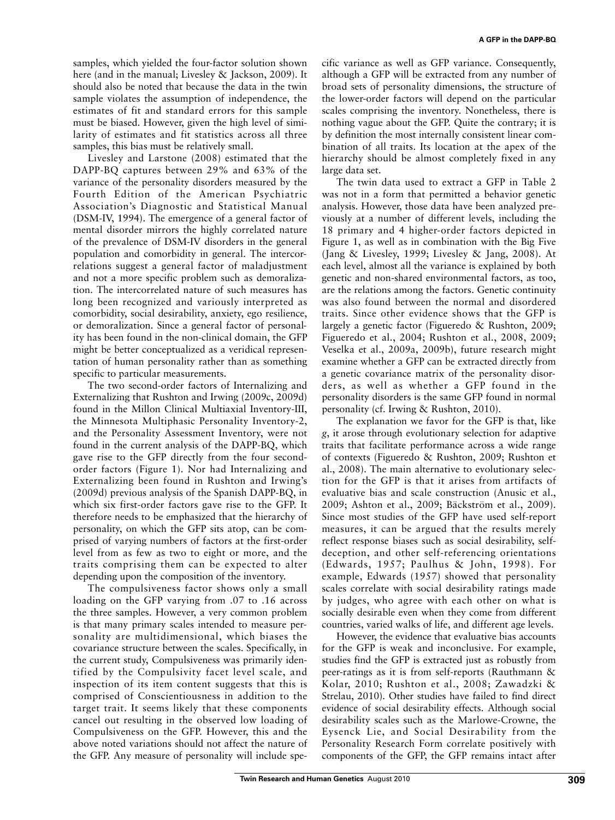samples, which yielded the four-factor solution shown here (and in the manual; Livesley & Jackson, 2009). It should also be noted that because the data in the twin sample violates the assumption of independence, the estimates of fit and standard errors for this sample must be biased. However, given the high level of similarity of estimates and fit statistics across all three samples, this bias must be relatively small.

Livesley and Larstone (2008) estimated that the DAPP-BQ captures between 29% and 63% of the variance of the personality disorders measured by the Fourth Edition of the American Psychiatric Association's Diagnostic and Statistical Manual (DSM-IV, 1994). The emergence of a general factor of mental disorder mirrors the highly correlated nature of the prevalence of DSM-IV disorders in the general population and comorbidity in general. The intercorrelations suggest a general factor of maladjustment and not a more specific problem such as demoralization. The intercorrelated nature of such measures has long been recognized and variously interpreted as comorbidity, social desirability, anxiety, ego resilience, or demoralization. Since a general factor of personality has been found in the non-clinical domain, the GFP might be better conceptualized as a veridical representation of human personality rather than as something specific to particular measurements.

The two second-order factors of Internalizing and Externalizing that Rushton and Irwing (2009c, 2009d) found in the Millon Clinical Multiaxial Inventory-III, the Minnesota Multiphasic Personality Inventory-2, and the Personality Assessment Inventory, were not found in the current analysis of the DAPP-BQ, which gave rise to the GFP directly from the four secondorder factors (Figure 1). Nor had Internalizing and Externalizing been found in Rushton and Irwing's (2009d) previous analysis of the Spanish DAPP-BQ, in which six first-order factors gave rise to the GFP. It therefore needs to be emphasized that the hierarchy of personality, on which the GFP sits atop, can be comprised of varying numbers of factors at the first-order level from as few as two to eight or more, and the traits comprising them can be expected to alter depending upon the composition of the inventory.

The compulsiveness factor shows only a small loading on the GFP varying from .07 to .16 across the three samples. However, a very common problem is that many primary scales intended to measure personality are multidimensional, which biases the covariance structure between the scales. Specifically, in the current study, Compulsiveness was primarily identified by the Compulsivity facet level scale, and inspection of its item content suggests that this is comprised of Conscientiousness in addition to the target trait. It seems likely that these components cancel out resulting in the observed low loading of Compulsiveness on the GFP. However, this and the above noted variations should not affect the nature of the GFP. Any measure of personality will include specific variance as well as GFP variance. Consequently, although a GFP will be extracted from any number of broad sets of personality dimensions, the structure of the lower-order factors will depend on the particular scales comprising the inventory. Nonetheless, there is nothing vague about the GFP. Quite the contrary; it is by definition the most internally consistent linear combination of all traits. Its location at the apex of the hierarchy should be almost completely fixed in any large data set.

The twin data used to extract a GFP in Table 2 was not in a form that permitted a behavior genetic analysis. However, those data have been analyzed previously at a number of different levels, including the 18 primary and 4 higher-order factors depicted in Figure 1, as well as in combination with the Big Five (Jang & Livesley, 1999; Livesley & Jang, 2008). At each level, almost all the variance is explained by both genetic and non-shared environmental factors, as too, are the relations among the factors. Genetic continuity was also found between the normal and disordered traits. Since other evidence shows that the GFP is largely a genetic factor (Figueredo & Rushton, 2009; Figueredo et al., 2004; Rushton et al., 2008, 2009; Veselka et al., 2009a, 2009b), future research might examine whether a GFP can be extracted directly from a genetic covariance matrix of the personality disorders, as well as whether a GFP found in the personality disorders is the same GFP found in normal personality (cf. Irwing & Rushton, 2010).

The explanation we favor for the GFP is that, like *g*, it arose through evolutionary selection for adaptive traits that facilitate performance across a wide range of contexts (Figueredo & Rushton, 2009; Rushton et al., 2008). The main alternative to evolutionary selection for the GFP is that it arises from artifacts of evaluative bias and scale construction (Anusic et al., 2009; Ashton et al., 2009; Bäckström et al., 2009). Since most studies of the GFP have used self-report measures, it can be argued that the results merely reflect response biases such as social desirability, selfdeception, and other self-referencing orientations (Edwards, 1957; Paulhus & John, 1998). For example, Edwards (1957) showed that personality scales correlate with social desirability ratings made by judges, who agree with each other on what is socially desirable even when they come from different countries, varied walks of life, and different age levels.

However, the evidence that evaluative bias accounts for the GFP is weak and inconclusive. For example, studies find the GFP is extracted just as robustly from peer-ratings as it is from self-reports (Rauthmann & Kolar, 2010; Rushton et al., 2008; Zawadzki & Strelau, 2010). Other studies have failed to find direct evidence of social desirability effects. Although social desirability scales such as the Marlowe-Crowne, the Eysenck Lie, and Social Desirability from the Personality Research Form correlate positively with components of the GFP, the GFP remains intact after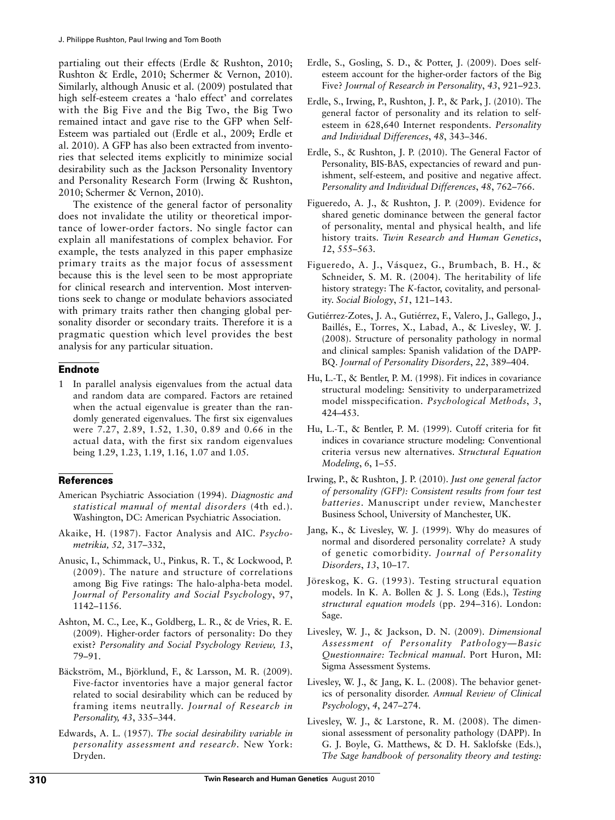partialing out their effects (Erdle & Rushton, 2010; Rushton & Erdle, 2010; Schermer & Vernon, 2010). Similarly, although Anusic et al. (2009) postulated that high self-esteem creates a 'halo effect' and correlates with the Big Five and the Big Two, the Big Two remained intact and gave rise to the GFP when Self-Esteem was partialed out (Erdle et al., 2009; Erdle et al. 2010). A GFP has also been extracted from inventories that selected items explicitly to minimize social desirability such as the Jackson Personality Inventory and Personality Research Form (Irwing & Rushton, 2010; Schermer & Vernon, 2010).

The existence of the general factor of personality does not invalidate the utility or theoretical importance of lower-order factors. No single factor can explain all manifestations of complex behavior. For example, the tests analyzed in this paper emphasize primary traits as the major focus of assessment because this is the level seen to be most appropriate for clinical research and intervention. Most interventions seek to change or modulate behaviors associated with primary traits rather then changing global personality disorder or secondary traits. Therefore it is a pragmatic question which level provides the best analysis for any particular situation.

### **Endnote**

1 In parallel analysis eigenvalues from the actual data and random data are compared. Factors are retained when the actual eigenvalue is greater than the randomly generated eigenvalues. The first six eigenvalues were 7.27, 2.89, 1.52, 1.30, 0.89 and 0.66 in the actual data, with the first six random eigenvalues being 1.29, 1.23, 1.19, 1.16, 1.07 and 1.05.

### **References**

- American Psychiatric Association (1994). *Diagnostic and statistical manual of mental disorders* (4th ed.). Washington, DC: American Psychiatric Association.
- Akaike, H. (1987). Factor Analysis and AIC. *Psycho metrikia, 52,* 317–332,
- Anusic, I., Schimmack, U., Pinkus, R. T., & Lockwood, P. (2009). The nature and structure of correlations among Big Five ratings: The halo-alpha-beta model. *Journal of Personality and Social Psychology*, 97, 1142–1156.
- Ashton, M. C., Lee, K., Goldberg, L. R., & de Vries, R. E. (2009). Higher-order factors of personality: Do they exist? *Personality and Social Psychology Review, 13*, 79–91.
- Bäckström, M., Björklund, F., & Larsson, M. R. (2009). Five-factor inventories have a major general factor related to social desirability which can be reduced by framing items neutrally. *Journal of Research in Personality, 43*, 335–344.
- Edwards, A. L. (1957). *The social desirability variable in personality assessment and research.* New York: Dryden.
- Erdle, S., Gosling, S. D., & Potter, J. (2009). Does selfesteem account for the higher-order factors of the Big Five? *Journal of Research in Personality*, *43*, 921–923.
- Erdle, S., Irwing, P., Rushton, J. P., & Park, J. (2010). The general factor of personality and its relation to selfesteem in 628,640 Internet respondents. *Personality and Individual Differences*, *48*, 343–346.
- Erdle, S., & Rushton, J. P. (2010). The General Factor of Personality, BIS-BAS, expectancies of reward and punishment, self-esteem, and positive and negative affect. *Personality and Individual Differences*, *48*, 762–766.
- Figueredo, A. J., & Rushton, J. P. (2009). Evidence for shared genetic dominance between the general factor of personality, mental and physical health, and life history traits. *Twin Research and Human Genetics*, *12*, 555–563.
- Figueredo, A. J., Vásquez, G., Brumbach, B. H., & Schneider, S. M. R. (2004). The heritability of life history strategy: The *K*-factor, covitality, and personality. *Social Biology*, *51*, 121–143.
- Gutiérrez-Zotes, J. A., Gutiérrez, F., Valero, J., Gallego, J., Baillés, E., Torres, X., Labad, A., & Livesley, W. J. (2008). Structure of personality pathology in normal and clinical samples: Spanish validation of the DAPP-BQ. *Journal of Personality Disorders*, *22*, 389–404.
- Hu, L.-T., & Bentler, P. M. (1998). Fit indices in covariance structural modeling: Sensitivity to underparametrized model misspecification. *Psychological Methods*, *3*, 424–453.
- Hu, L.-T., & Bentler, P. M. (1999). Cutoff criteria for fit indices in covariance structure modeling: Conventional criteria versus new alternatives. *Structural Equation Modeling*, *6*, 1–55.
- Irwing, P., & Rushton, J. P. (2010). *Just one general factor of personality (GFP): Consistent results from four test batteries*. Manuscript under review, Manchester Business School, University of Manchester, UK.
- Jang, K., & Livesley, W. J. (1999). Why do measures of normal and disordered personality correlate? A study of genetic comorbidity. *Journal of Personality Disorders*, *13*, 10–17.
- Jöreskog, K. G. (1993). Testing structural equation models. In K. A. Bollen & J. S. Long (Eds.), *Testing structural equation models* (pp. 294–316). London: Sage.
- Livesley, W. J., & Jackson, D. N. (2009). *Dimensional Assessment of Personality Pathology—Basic Questionnaire: Technical manual*. Port Huron, MI: Sigma Assessment Systems.
- Livesley, W. J., & Jang, K. L. (2008). The behavior genetics of personality disorder. *Annual Review of Clinical Psychology*, *4*, 247–274.
- Livesley, W. J., & Larstone, R. M. (2008). The dimensional assessment of personality pathology (DAPP). In G. J. Boyle, G. Matthews, & D. H. Saklofske (Eds.), *The Sage handbook of personality theory and testing:*